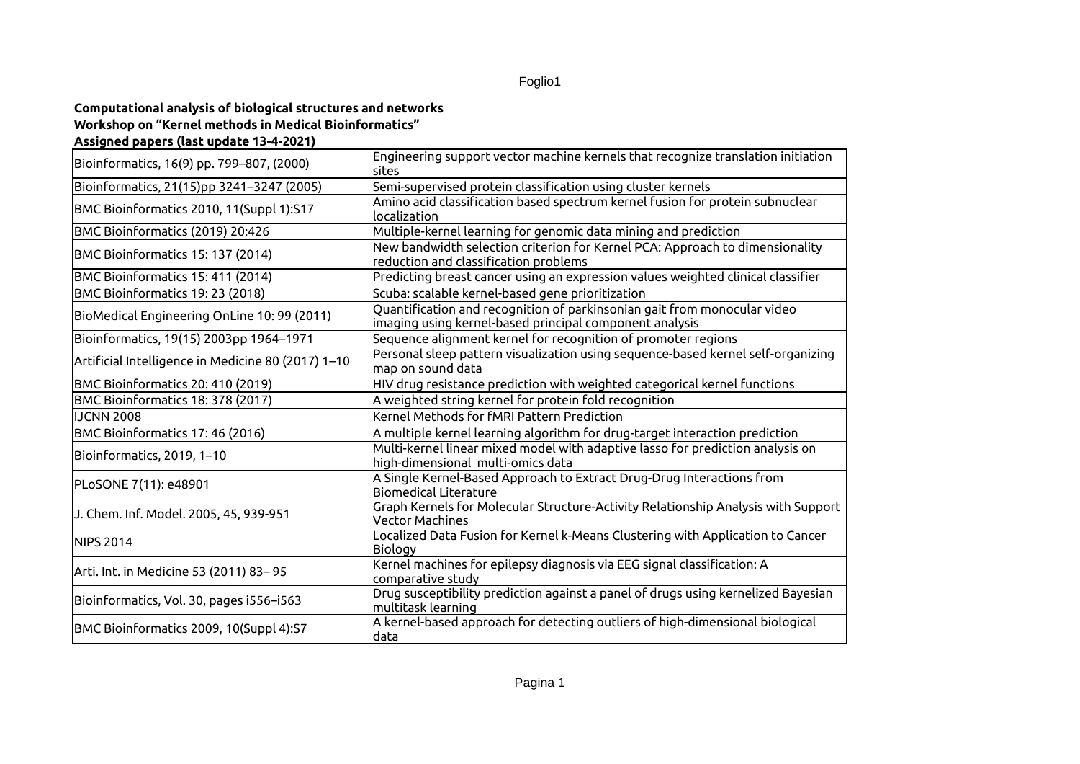## Foglio1

## **Computational analysis of biological structures and networks Workshop on "Kernel methods in Medical Bioinformatics" Assigned papers (last update 13-4-2021)**

| Bioinformatics, 16(9) pp. 799–807, (2000)          | Engineering support vector machine kernels that recognize translation initiation<br>sites                                           |
|----------------------------------------------------|-------------------------------------------------------------------------------------------------------------------------------------|
| Bioinformatics, 21(15)pp 3241–3247 (2005)          | Semi-supervised protein classification using cluster kernels                                                                        |
| BMC Bioinformatics 2010, 11(Suppl 1):S17           | Amino acid classification based spectrum kernel fusion for protein subnuclear<br>localization                                       |
| BMC Bioinformatics (2019) 20:426                   | Multiple-kernel learning for genomic data mining and prediction                                                                     |
| BMC Bioinformatics 15: 137 (2014)                  | New bandwidth selection criterion for Kernel PCA: Approach to dimensionality<br>reduction and classification problems               |
| BMC Bioinformatics 15: 411 (2014)                  | Predicting breast cancer using an expression values weighted clinical classifier                                                    |
| BMC Bioinformatics 19: 23 (2018)                   | Scuba: scalable kernel-based gene prioritization                                                                                    |
| BioMedical Engineering OnLine 10: 99 (2011)        | Quantification and recognition of parkinsonian gait from monocular video<br>imaging using kernel-based principal component analysis |
| Bioinformatics, 19(15) 2003pp 1964–1971            | Sequence alignment kernel for recognition of promoter regions                                                                       |
| Artificial Intelligence in Medicine 80 (2017) 1–10 | Personal sleep pattern visualization using sequence-based kernel self-organizing<br>map on sound data                               |
| BMC Bioinformatics 20: 410 (2019)                  | HIV drug resistance prediction with weighted categorical kernel functions                                                           |
| BMC Bioinformatics 18: 378 (2017)                  | A weighted string kernel for protein fold recognition                                                                               |
| <b>IJCNN 2008</b>                                  | Kernel Methods for fMRI Pattern Prediction                                                                                          |
| BMC Bioinformatics 17: 46 (2016)                   | A multiple kernel learning algorithm for drug-target interaction prediction                                                         |
| Bioinformatics, 2019, 1–10                         | Multi-kernel linear mixed model with adaptive lasso for prediction analysis on<br>high-dimensional multi-omics data                 |
| PLoSONE 7(11): e48901                              | A Single Kernel-Based Approach to Extract Drug-Drug Interactions from<br><b>Biomedical Literature</b>                               |
| J. Chem. Inf. Model. 2005, 45, 939-951             | Graph Kernels for Molecular Structure-Activity Relationship Analysis with Support<br><b>Vector Machines</b>                         |
| NIPS 2014                                          | Localized Data Fusion for Kernel k-Means Clustering with Application to Cancer<br>Biology                                           |
| Arti. Int. in Medicine 53 (2011) 83–95             | Kernel machines for epilepsy diagnosis via EEG signal classification: A<br>comparative study                                        |
| Bioinformatics, Vol. 30, pages i556–i563           | Drug susceptibility prediction against a panel of drugs using kernelized Bayesian<br>multitask learning                             |
| BMC Bioinformatics 2009, 10(Suppl 4):S7            | A kernel-based approach for detecting outliers of high-dimensional biological<br>data                                               |